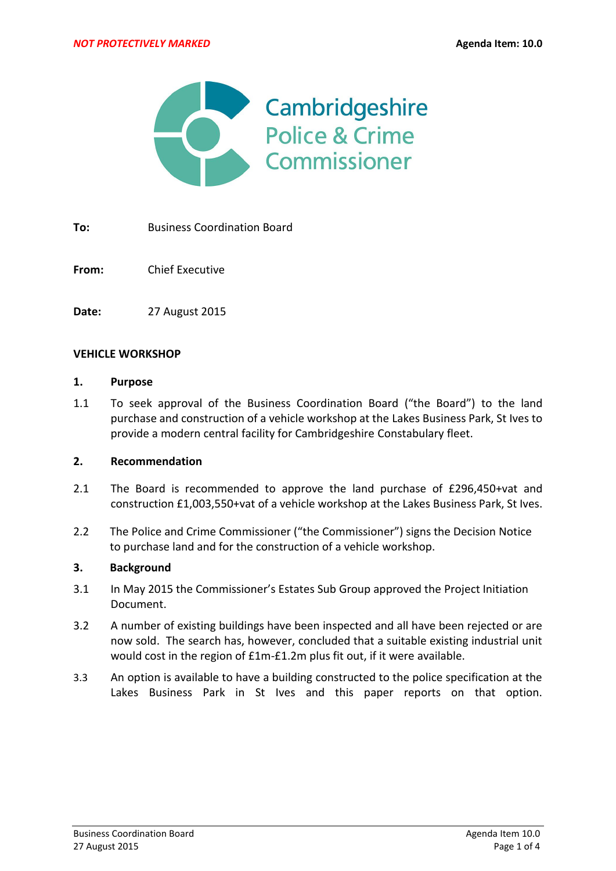

**To:** Business Coordination Board

**From:** Chief Executive

**Date:** 27 August 2015

### **VEHICLE WORKSHOP**

### **1. Purpose**

1.1 To seek approval of the Business Coordination Board ("the Board") to the land purchase and construction of a vehicle workshop at the Lakes Business Park, St Ives to provide a modern central facility for Cambridgeshire Constabulary fleet.

### **2. Recommendation**

- 2.1 The Board is recommended to approve the land purchase of £296,450+vat and construction £1,003,550+vat of a vehicle workshop at the Lakes Business Park, St Ives.
- 2.2 The Police and Crime Commissioner ("the Commissioner") signs the Decision Notice to purchase land and for the construction of a vehicle workshop.

### **3. Background**

- 3.1 In May 2015 the Commissioner's Estates Sub Group approved the Project Initiation Document.
- 3.2 A number of existing buildings have been inspected and all have been rejected or are now sold. The search has, however, concluded that a suitable existing industrial unit would cost in the region of £1m-£1.2m plus fit out, if it were available.
- 3.3 An option is available to have a building constructed to the police specification at the Lakes Business Park in St Ives and this paper reports on that option.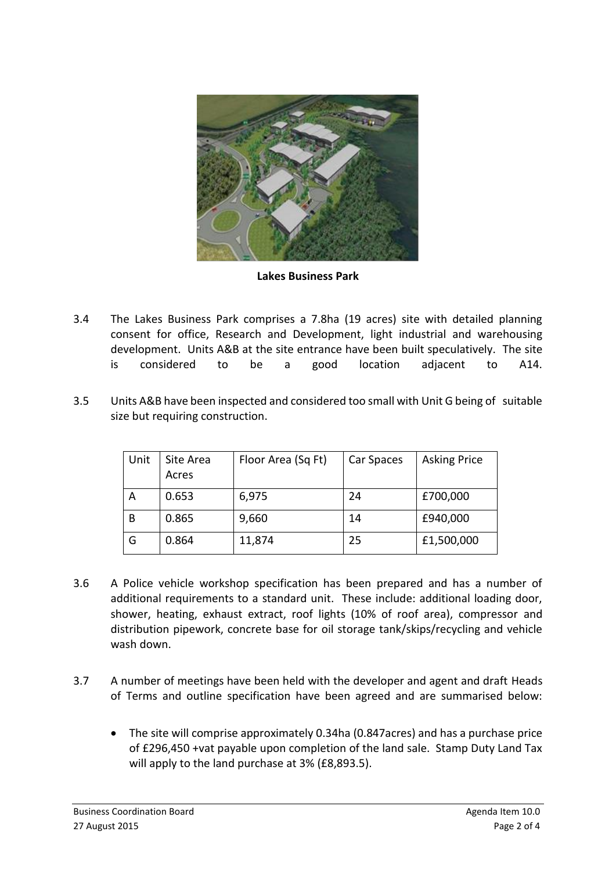

**Lakes Business Park**

- 3.4 The Lakes Business Park comprises a 7.8ha (19 acres) site with detailed planning consent for office, Research and Development, light industrial and warehousing development. Units A&B at the site entrance have been built speculatively. The site is considered to be a good location adjacent to A14.
- 3.5 Units A&B have been inspected and considered too small with Unit G being of suitable size but requiring construction.

| Unit | Site Area<br>Acres | Floor Area (Sq Ft) | Car Spaces | <b>Asking Price</b> |
|------|--------------------|--------------------|------------|---------------------|
| А    | 0.653              | 6,975              | 24         | £700,000            |
| В    | 0.865              | 9,660              | 14         | £940,000            |
| G    | 0.864              | 11,874             | 25         | £1,500,000          |

- 3.6 A Police vehicle workshop specification has been prepared and has a number of additional requirements to a standard unit. These include: additional loading door, shower, heating, exhaust extract, roof lights (10% of roof area), compressor and distribution pipework, concrete base for oil storage tank/skips/recycling and vehicle wash down.
- 3.7 A number of meetings have been held with the developer and agent and draft Heads of Terms and outline specification have been agreed and are summarised below:
	- The site will comprise approximately 0.34ha (0.847acres) and has a purchase price of £296,450 +vat payable upon completion of the land sale. Stamp Duty Land Tax will apply to the land purchase at 3% (£8,893.5).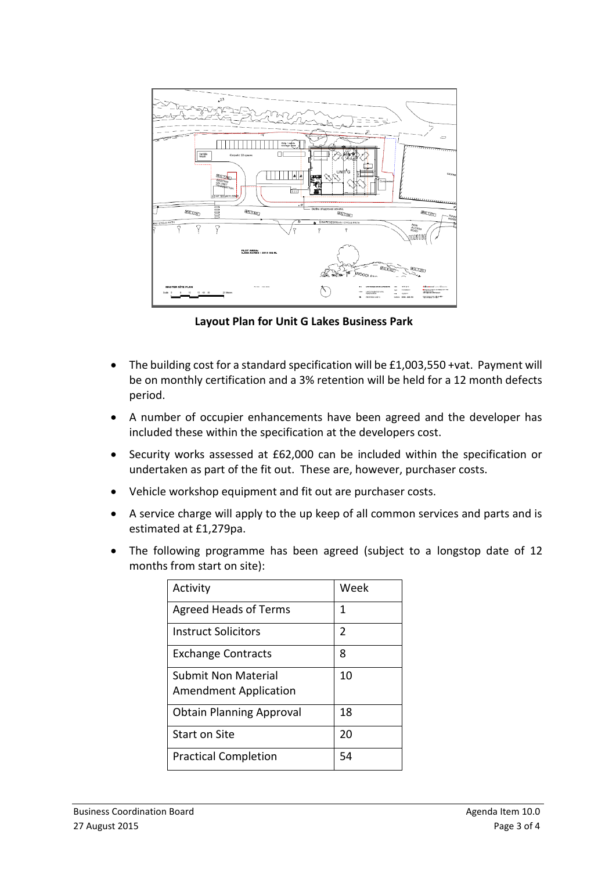

 **Layout Plan for Unit G Lakes Business Park**

- The building cost for a standard specification will be £1,003,550 +vat. Payment will be on monthly certification and a 3% retention will be held for a 12 month defects period.
- A number of occupier enhancements have been agreed and the developer has included these within the specification at the developers cost.
- Security works assessed at £62,000 can be included within the specification or undertaken as part of the fit out. These are, however, purchaser costs.
- Vehicle workshop equipment and fit out are purchaser costs.
- A service charge will apply to the up keep of all common services and parts and is estimated at £1,279pa.
- The following programme has been agreed (subject to a longstop date of 12 months from start on site):

| Activity                                            | Week           |
|-----------------------------------------------------|----------------|
| <b>Agreed Heads of Terms</b>                        | 1              |
| Instruct Solicitors                                 | $\overline{2}$ |
| <b>Exchange Contracts</b>                           | 8              |
| Submit Non Material<br><b>Amendment Application</b> | 10             |
| <b>Obtain Planning Approval</b>                     | 18             |
| <b>Start on Site</b>                                | 20             |
| <b>Practical Completion</b>                         | 54             |